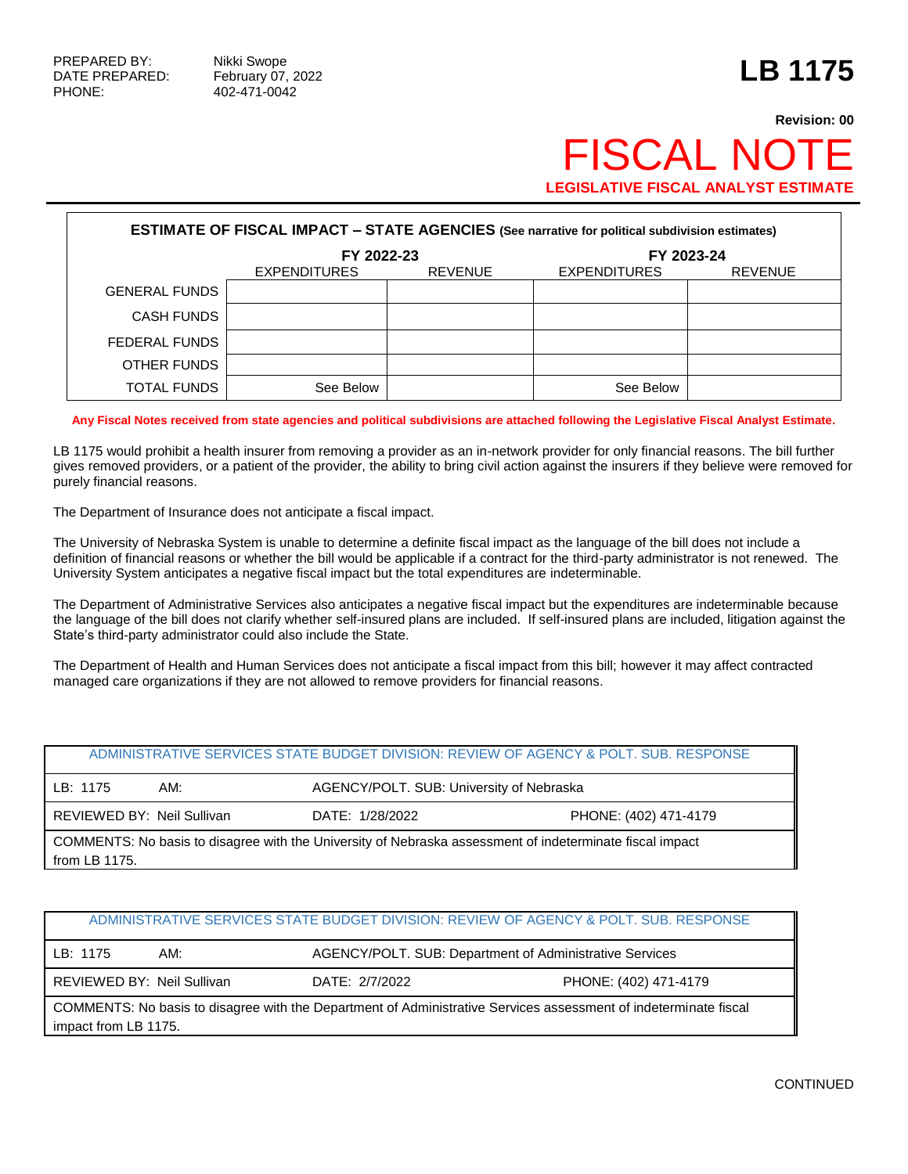## **Revision: 00 FISCAL NO LEGISLATIVE FISCAL ANALYST ESTIMATE**

| <b>ESTIMATE OF FISCAL IMPACT - STATE AGENCIES (See narrative for political subdivision estimates)</b> |                          |                |                                       |  |  |  |  |
|-------------------------------------------------------------------------------------------------------|--------------------------|----------------|---------------------------------------|--|--|--|--|
|                                                                                                       | FY 2022-23<br>FY 2023-24 |                |                                       |  |  |  |  |
|                                                                                                       | <b>EXPENDITURES</b>      | <b>REVENUE</b> | <b>EXPENDITURES</b><br><b>REVENUE</b> |  |  |  |  |
| <b>GENERAL FUNDS</b>                                                                                  |                          |                |                                       |  |  |  |  |
| <b>CASH FUNDS</b>                                                                                     |                          |                |                                       |  |  |  |  |
| FEDERAL FUNDS                                                                                         |                          |                |                                       |  |  |  |  |
| OTHER FUNDS                                                                                           |                          |                |                                       |  |  |  |  |
| <b>TOTAL FUNDS</b>                                                                                    | See Below                |                | See Below                             |  |  |  |  |

**Any Fiscal Notes received from state agencies and political subdivisions are attached following the Legislative Fiscal Analyst Estimate.**

LB 1175 would prohibit a health insurer from removing a provider as an in-network provider for only financial reasons. The bill further gives removed providers, or a patient of the provider, the ability to bring civil action against the insurers if they believe were removed for purely financial reasons.

The Department of Insurance does not anticipate a fiscal impact.

The University of Nebraska System is unable to determine a definite fiscal impact as the language of the bill does not include a definition of financial reasons or whether the bill would be applicable if a contract for the third-party administrator is not renewed. The University System anticipates a negative fiscal impact but the total expenditures are indeterminable.

The Department of Administrative Services also anticipates a negative fiscal impact but the expenditures are indeterminable because the language of the bill does not clarify whether self-insured plans are included. If self-insured plans are included, litigation against the State's third-party administrator could also include the State.

The Department of Health and Human Services does not anticipate a fiscal impact from this bill; however it may affect contracted managed care organizations if they are not allowed to remove providers for financial reasons.

| ADMINISTRATIVE SERVICES STATE BUDGET DIVISION: REVIEW OF AGENCY & POLT, SUB, RESPONSE                                     |     |                                          |                       |  |  |
|---------------------------------------------------------------------------------------------------------------------------|-----|------------------------------------------|-----------------------|--|--|
| LB: 1175                                                                                                                  | AM: | AGENCY/POLT. SUB: University of Nebraska |                       |  |  |
| REVIEWED BY: Neil Sullivan                                                                                                |     | DATE: 1/28/2022                          | PHONE: (402) 471-4179 |  |  |
| COMMENTS: No basis to disagree with the University of Nebraska assessment of indeterminate fiscal impact<br>from LB 1175. |     |                                          |                       |  |  |

|                                                                                                                                          |     | ADMINISTRATIVE SERVICES STATE BUDGET DIVISION: REVIEW OF AGENCY & POLT. SUB. RESPONSE |                       |  |  |
|------------------------------------------------------------------------------------------------------------------------------------------|-----|---------------------------------------------------------------------------------------|-----------------------|--|--|
| LB: 1175                                                                                                                                 | AM: | AGENCY/POLT. SUB: Department of Administrative Services                               |                       |  |  |
| REVIEWED BY: Neil Sullivan                                                                                                               |     | DATE: 2/7/2022                                                                        | PHONE: (402) 471-4179 |  |  |
| COMMENTS: No basis to disagree with the Department of Administrative Services assessment of indeterminate fiscal<br>impact from LB 1175. |     |                                                                                       |                       |  |  |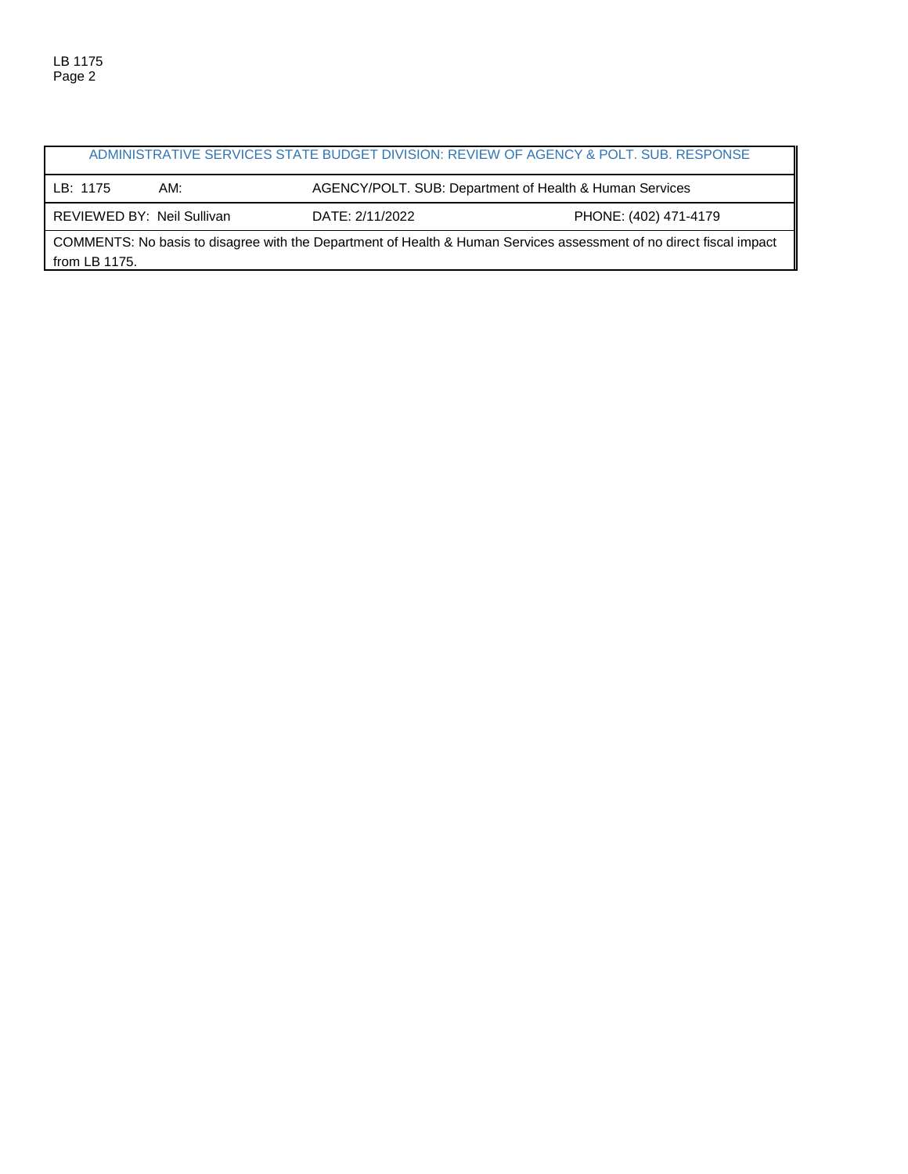|                                                                                                                     |     | ADMINISTRATIVE SERVICES STATE BUDGET DIVISION: REVIEW OF AGENCY & POLT. SUB. RESPONSE |                       |  |
|---------------------------------------------------------------------------------------------------------------------|-----|---------------------------------------------------------------------------------------|-----------------------|--|
| LB: 1175                                                                                                            | AM: | AGENCY/POLT. SUB: Department of Health & Human Services                               |                       |  |
| REVIEWED BY: Neil Sullivan                                                                                          |     | DATE: 2/11/2022                                                                       | PHONE: (402) 471-4179 |  |
| COMMENTS: No basis to disagree with the Department of Health & Human Services assessment of no direct fiscal impact |     |                                                                                       |                       |  |

from LB 1175.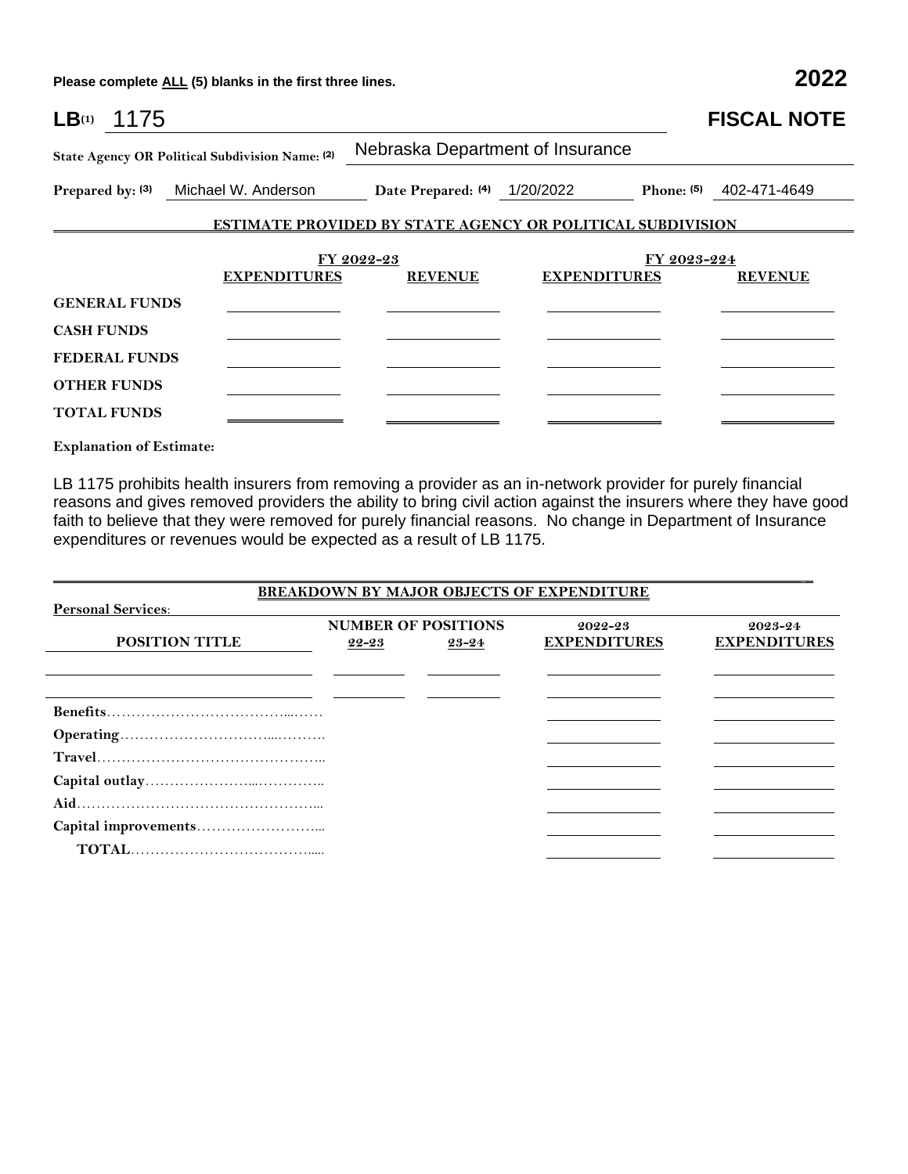**Please complete ALL (5) blanks in the first three lines. 2022**

| LB <sub>(1)</sub> 1175                    |                                                                   |                                                                   |                     |             | <b>FISCAL NOTE</b>        |
|-------------------------------------------|-------------------------------------------------------------------|-------------------------------------------------------------------|---------------------|-------------|---------------------------|
|                                           | State Agency OR Political Subdivision Name: (2)                   | Nebraska Department of Insurance                                  |                     |             |                           |
|                                           | Prepared by: (3) Michael W. Anderson Date Prepared: (4) 1/20/2022 |                                                                   |                     |             | Phone: $(5)$ 402-471-4649 |
|                                           |                                                                   | <b>ESTIMATE PROVIDED BY STATE AGENCY OR POLITICAL SUBDIVISION</b> |                     |             |                           |
| <b>GENERAL FUNDS</b>                      | <b>EXPENDITURES</b>                                               | FY 2022-23<br><b>REVENUE</b>                                      | <b>EXPENDITURES</b> | FY 2023-224 | <b>REVENUE</b>            |
| <b>CASH FUNDS</b><br><b>FEDERAL FUNDS</b> |                                                                   |                                                                   |                     |             |                           |
| <b>OTHER FUNDS</b><br><b>TOTAL FUNDS</b>  |                                                                   |                                                                   |                     |             |                           |

**Explanation of Estimate:**

LB 1175 prohibits health insurers from removing a provider as an in-network provider for purely financial reasons and gives removed providers the ability to bring civil action against the insurers where they have good faith to believe that they were removed for purely financial reasons. No change in Department of Insurance expenditures or revenues would be expected as a result of LB 1175.

|                           |       |                            | <b>BREAKDOWN BY MAJOR OBJECTS OF EXPENDITURE</b> |                     |
|---------------------------|-------|----------------------------|--------------------------------------------------|---------------------|
| <b>Personal Services:</b> |       |                            |                                                  |                     |
|                           |       | <b>NUMBER OF POSITIONS</b> | 2022-23                                          | 2023-24             |
| POSITION TITLE            | 22-23 | 23-24                      | <b>EXPENDITURES</b>                              | <b>EXPENDITURES</b> |
|                           |       |                            |                                                  |                     |
|                           |       |                            |                                                  |                     |
|                           |       |                            |                                                  |                     |
|                           |       |                            |                                                  |                     |
|                           |       |                            |                                                  |                     |
|                           |       |                            |                                                  |                     |
|                           |       |                            |                                                  |                     |
|                           |       |                            |                                                  |                     |
|                           |       |                            |                                                  |                     |
|                           |       |                            |                                                  |                     |
|                           |       |                            |                                                  |                     |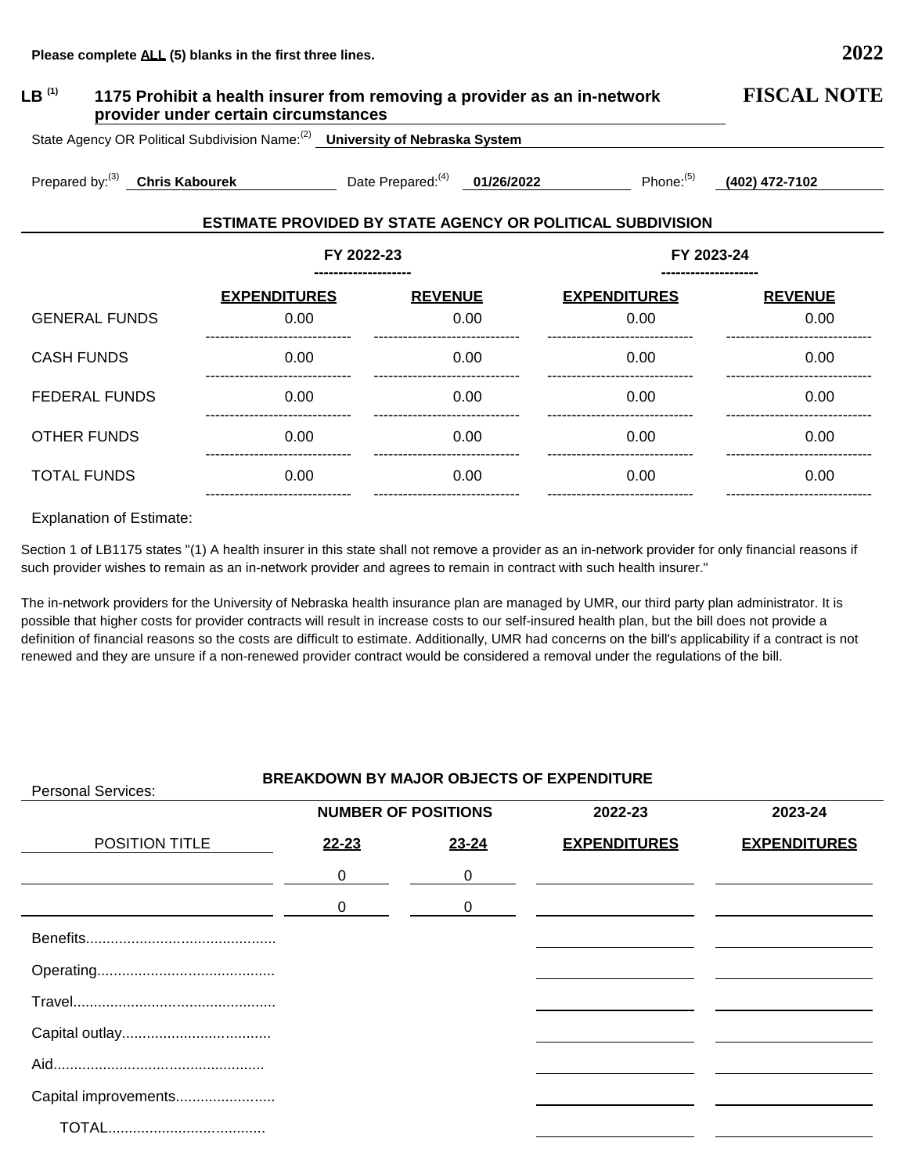| LB $^{(1)}$<br>1175 Prohibit a health insurer from removing a provider as an in-network<br>provider under certain circumstances | <b>FISCAL NOTE</b>  |                                    |      |                                                                   |                |
|---------------------------------------------------------------------------------------------------------------------------------|---------------------|------------------------------------|------|-------------------------------------------------------------------|----------------|
| State Agency OR Political Subdivision Name: <sup>(2)</sup> University of Nebraska System                                        |                     |                                    |      |                                                                   |                |
| Prepared by: $(3)$<br><b>Chris Kabourek</b>                                                                                     |                     | Date Prepared: $^{(4)}$ 01/26/2022 |      | Phone: $(5)$                                                      | (402) 472-7102 |
|                                                                                                                                 |                     |                                    |      | <b>ESTIMATE PROVIDED BY STATE AGENCY OR POLITICAL SUBDIVISION</b> |                |
| FY 2022-23<br>FY 2023-24                                                                                                        |                     |                                    |      |                                                                   |                |
|                                                                                                                                 | <b>EXPENDITURES</b> | <b>REVENUE</b>                     |      | <b>EXPENDITURES</b>                                               | <b>REVENUE</b> |
| <b>GENERAL FUNDS</b>                                                                                                            | 0.00                |                                    | 0.00 | 0.00                                                              | 0.00           |
| <b>CASH FUNDS</b>                                                                                                               | 0.00                |                                    | 0.00 | 0.00                                                              | 0.00           |
| <b>FEDERAL FUNDS</b>                                                                                                            | 0.00                |                                    | 0.00 | 0.00                                                              | 0.00           |
| <b>OTHER FUNDS</b>                                                                                                              | 0.00                |                                    | 0.00 | 0.00                                                              | 0.00           |

## Explanation of Estimate:

TOTAL FUNDS 0.00

------------------------------

Section 1 of LB1175 states "(1) A health insurer in this state shall not remove a provider as an in-network provider for only financial reasons if such provider wishes to remain as an in-network provider and agrees to remain in contract with such health insurer."

 0.00 ------------------------------

 0.00 ------------------------------

The in-network providers for the University of Nebraska health insurance plan are managed by UMR, our third party plan administrator. It is possible that higher costs for provider contracts will result in increase costs to our self-insured health plan, but the bill does not provide a definition of financial reasons so the costs are difficult to estimate. Additionally, UMR had concerns on the bill's applicability if a contract is not renewed and they are unsure if a non-renewed provider contract would be considered a removal under the regulations of the bill.

## **BREAKDOWN BY MAJOR OBJECTS OF EXPENDITURE** Personal Services: POSITION TITLE Benefits.............................................. Operating........................................... Travel................................................. Capital outlay.................................... Aid................................................... Capital improvements........................ TOTAL...................................... **NUMBER OF POSITIONS 22-23** 0 0 **23-24** 0 0 **2022-23 EXPENDITURES 2023-24 EXPENDITURES**

 0.00 ------------------------------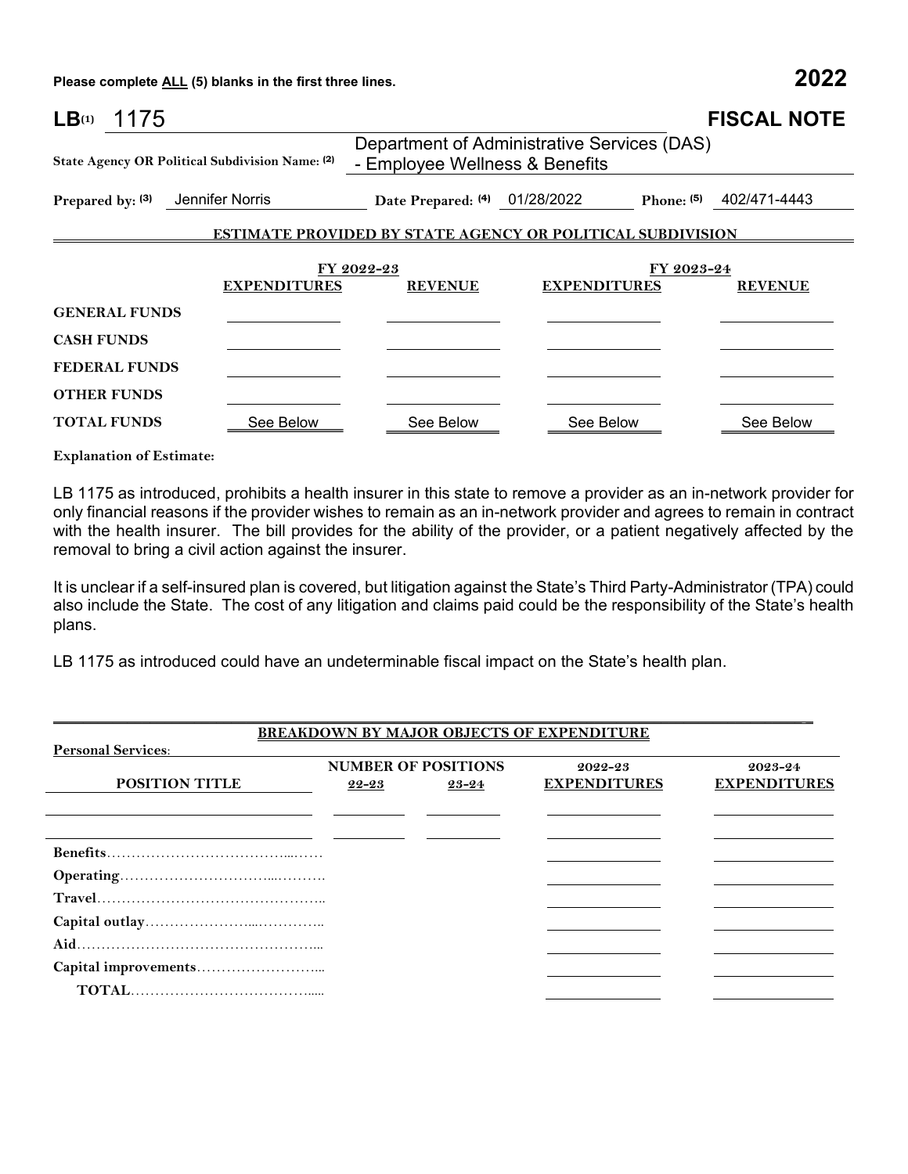**Please complete ALL (5) blanks in the first three lines. 2022**

| LB <sub>(1)</sub><br>1175 |                                                 |                                |                                                                   | <b>FISCAL NOTE</b>           |
|---------------------------|-------------------------------------------------|--------------------------------|-------------------------------------------------------------------|------------------------------|
|                           | State Agency OR Political Subdivision Name: (2) | - Employee Wellness & Benefits | Department of Administrative Services (DAS)                       |                              |
| Prepared by: (3)          | Jennifer Norris                                 | Date Prepared: (4) 01/28/2022  |                                                                   | Phone: $(5)$<br>402/471-4443 |
|                           |                                                 |                                | <b>ESTIMATE PROVIDED BY STATE AGENCY OR POLITICAL SUBDIVISION</b> |                              |
|                           | <b>EXPENDITURES</b>                             | FY 2022-23<br><b>REVENUE</b>   | <b>EXPENDITURES</b>                                               | FY 2023-24<br><b>REVENUE</b> |
| <b>GENERAL FUNDS</b>      |                                                 |                                |                                                                   |                              |
| <b>CASH FUNDS</b>         |                                                 |                                |                                                                   |                              |
| <b>FEDERAL FUNDS</b>      |                                                 |                                |                                                                   |                              |
| <b>OTHER FUNDS</b>        |                                                 |                                |                                                                   |                              |
| <b>TOTAL FUNDS</b>        | See Below                                       | See Below                      | See Below                                                         | See Below                    |

**Explanation of Estimate:**

LB 1175 as introduced, prohibits a health insurer in this state to remove a provider as an in-network provider for only financial reasons if the provider wishes to remain as an in-network provider and agrees to remain in contract with the health insurer. The bill provides for the ability of the provider, or a patient negatively affected by the removal to bring a civil action against the insurer.

It is unclear if a self-insured plan is covered, but litigation against the State's Third Party-Administrator (TPA) could also include the State. The cost of any litigation and claims paid could be the responsibility of the State's health plans.

LB 1175 as introduced could have an undeterminable fiscal impact on the State's health plan.

|                           |       |                                     | <b>BREAKDOWN BY MAJOR OBJECTS OF EXPENDITURE</b> |                                    |
|---------------------------|-------|-------------------------------------|--------------------------------------------------|------------------------------------|
| <b>Personal Services:</b> |       |                                     |                                                  |                                    |
| <b>POSITION TITLE</b>     | 22-23 | <b>NUMBER OF POSITIONS</b><br>23-24 | $2022 - 23$<br><b>EXPENDITURES</b>               | $2023 - 24$<br><b>EXPENDITURES</b> |
|                           |       |                                     |                                                  |                                    |
|                           |       |                                     |                                                  |                                    |
|                           |       |                                     |                                                  |                                    |
|                           |       |                                     |                                                  |                                    |
|                           |       |                                     |                                                  |                                    |
|                           |       |                                     |                                                  |                                    |
|                           |       |                                     |                                                  |                                    |
|                           |       |                                     |                                                  |                                    |